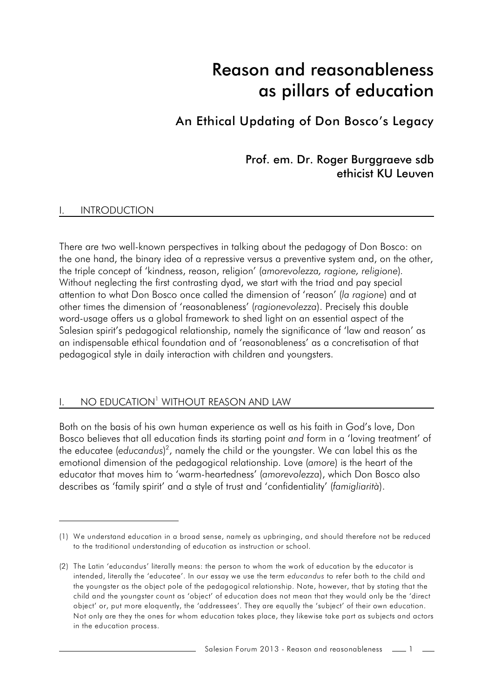# Reason and reasonableness as pillars of education

An Ethical Updating of Don Bosco's Legacy

Prof. em. Dr. Roger Burggraeve sdb ethicist KU Leuven

#### **INTRODUCTION**

There are two well-known perspectives in talking about the pedagogy of Don Bosco: on the one hand, the binary idea of a repressive versus a preventive system and, on the other, the triple concept of 'kindness, reason, religion' (*amorevolezza, ragione, religione*)*.* Without neglecting the first contrasting dyad, we start with the triad and pay special attention to what Don Bosco once called the dimension of 'reason' (*la ragione*) and at other times the dimension of 'reasonableness' (*ragionevolezza*). Precisely this double word-usage offers us a global framework to shed light on an essential aspect of the Salesian spirit's pedagogical relationship, namely the significance of 'law and reason' as an indispensable ethical foundation and of 'reasonableness' as a concretisation of that pedagogical style in daily interaction with children and youngsters.

## I. NO EDUCATION<sup>1</sup> WITHOUT REASON AND LAW

Both on the basis of his own human experience as well as his faith in God's love, Don Bosco believes that all education finds its starting point *and* form in a 'loving treatment' of the educatee (educandus)<sup>2</sup>, namely the child or the youngster. We can label this as the emotional dimension of the pedagogical relationship. Love (*amore*) is the heart of the educator that moves him to 'warm-heartedness' (*amorevolezza*), which Don Bosco also describes as 'family spirit' and a style of trust and 'confidentiality' (*famigliarità*).

<sup>(1)</sup> We understand education in a broad sense, namely as upbringing, and should therefore not be reduced to the traditional understanding of education as instruction or school.

<sup>(2)</sup> The Latin 'educandus' literally means: the person to whom the work of education by the educator is intended, literally the 'educatee'. In our essay we use the term *educandus* to refer both to the child and the youngster as the object pole of the pedagogical relationship. Note, however, that by stating that the child and the youngster count as 'object' of education does not mean that they would only be the 'direct object' or, put more eloquently, the 'addressees'. They are equally the 'subject' of their own education. Not only are they the ones for whom education takes place, they likewise take part as subjects and actors in the education process.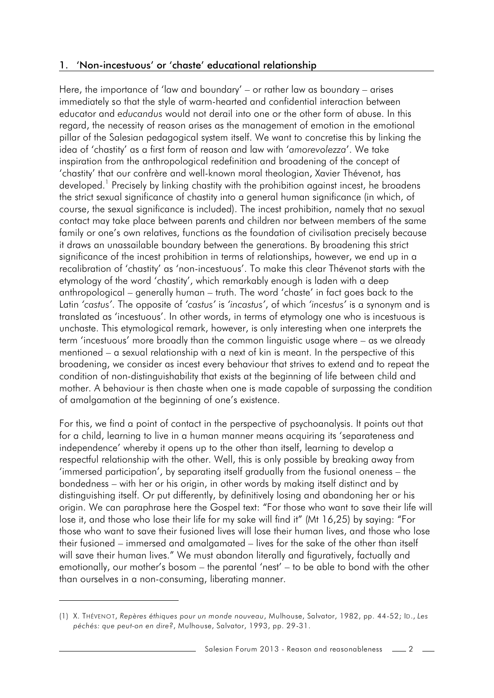## 1. 'Non-incestuous' or 'chaste' educational relationship

Here, the importance of 'law and boundary' – or rather law as boundary – arises immediately so that the style of warm-hearted and confidential interaction between educator and *educandus* would not derail into one or the other form of abuse. In this regard, the necessity of reason arises as the management of emotion in the emotional pillar of the Salesian pedagogical system itself. We want to concretise this by linking the idea of 'chastity' as a first form of reason and law with '*amorevolezza*'. We take inspiration from the anthropological redefinition and broadening of the concept of 'chastity' that our confrère and well-known moral theologian, Xavier Thévenot, has developed.<sup>1</sup> Precisely by linking chastity with the prohibition against incest, he broadens the strict sexual significance of chastity into a general human significance (in which, of course, the sexual significance is included). The incest prohibition, namely that no sexual contact may take place between parents and children nor between members of the same family or one's own relatives, functions as the foundation of civilisation precisely because it draws an unassailable boundary between the generations. By broadening this strict significance of the incest prohibition in terms of relationships, however, we end up in a recalibration of 'chastity' as 'non-incestuous'. To make this clear Thévenot starts with the etymology of the word 'chastity', which remarkably enough is laden with a deep anthropological – generally human – truth. The word 'chaste' in fact goes back to the Latin *'castus'*. The opposite of *'castus'* is *'incastus'*, of which *'incestus'* is a synonym and is translated as 'incestuous'. In other words, in terms of etymology one who is incestuous is unchaste. This etymological remark, however, is only interesting when one interprets the term 'incestuous' more broadly than the common linguistic usage where – as we already mentioned – a sexual relationship with a next of kin is meant. In the perspective of this broadening, we consider as incest every behaviour that strives to extend and to repeat the condition of non-distinguishability that exists at the beginning of life between child and mother. A behaviour is then chaste when one is made capable of surpassing the condition of amalgamation at the beginning of one's existence.

For this, we find a point of contact in the perspective of psychoanalysis. It points out that for a child, learning to live in a human manner means acquiring its 'separateness and independence' whereby it opens up to the other than itself, learning to develop a respectful relationship with the other. Well, this is only possible by breaking away from 'immersed participation', by separating itself gradually from the fusional oneness – the bondedness – with her or his origin, in other words by making itself distinct and by distinguishing itself. Or put differently, by definitively losing and abandoning her or his origin. We can paraphrase here the Gospel text: "For those who want to save their life will lose it, and those who lose their life for my sake will find it" (Mt 16,25) by saying: "For those who want to save their fusioned lives will lose their human lives, and those who lose their fusioned – immersed and amalgamated – lives for the sake of the other than itself will save their human lives." We must abandon literally and figuratively, factually and emotionally, our mother's bosom – the parental 'nest' – to be able to bond with the other than ourselves in a non-consuming, liberating manner.

<sup>(1)</sup> X. THÉVENOT, *Repères éthiques pour un monde nouveau*, Mulhouse, Salvator, 1982, pp. 44-52; ID., *Les péchés: que peut-on en dire?*, Mulhouse, Salvator, 1993, pp. 29-31.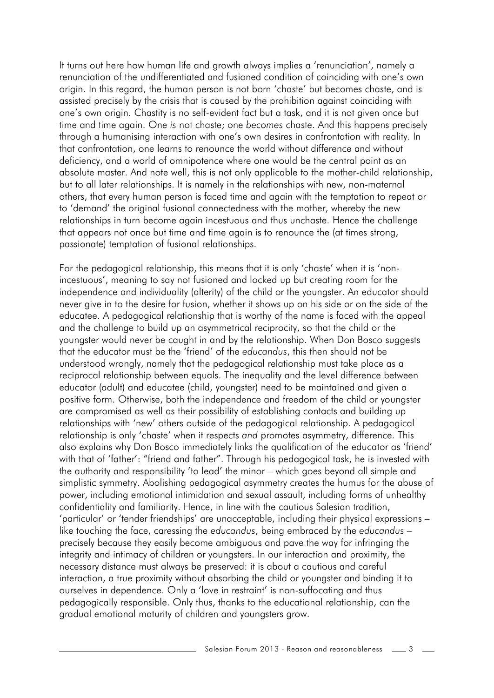It turns out here how human life and growth always implies a 'renunciation', namely a renunciation of the undifferentiated and fusioned condition of coinciding with one's own origin. In this regard, the human person is not born 'chaste' but becomes chaste, and is assisted precisely by the crisis that is caused by the prohibition against coinciding with one's own origin. Chastity is no self-evident fact but a task, and it is not given once but time and time again. One *is* not chaste; one *becomes* chaste. And this happens precisely through a humanising interaction with one's own desires in confrontation with reality. In that confrontation, one learns to renounce the world without difference and without deficiency, and a world of omnipotence where one would be the central point as an absolute master. And note well, this is not only applicable to the mother-child relationship, but to all later relationships. It is namely in the relationships with new, non-maternal others, that every human person is faced time and again with the temptation to repeat or to 'demand' the original fusional connectedness with the mother, whereby the new relationships in turn become again incestuous and thus unchaste. Hence the challenge that appears not once but time and time again is to renounce the (at times strong, passionate) temptation of fusional relationships.

For the pedagogical relationship, this means that it is only 'chaste' when it is 'nonincestuous', meaning to say not fusioned and locked up but creating room for the independence and individuality (alterity) of the child or the youngster. An educator should never give in to the desire for fusion, whether it shows up on his side or on the side of the educatee. A pedagogical relationship that is worthy of the name is faced with the appeal and the challenge to build up an asymmetrical reciprocity, so that the child or the youngster would never be caught in and by the relationship. When Don Bosco suggests that the educator must be the 'friend' of the *educandus*, this then should not be understood wrongly, namely that the pedagogical relationship must take place as a reciprocal relationship between equals. The inequality and the level difference between educator (adult) and educatee (child, youngster) need to be maintained and given a positive form. Otherwise, both the independence and freedom of the child or youngster are compromised as well as their possibility of establishing contacts and building up relationships with 'new' others outside of the pedagogical relationship. A pedagogical relationship is only 'chaste' when it respects *and* promotes asymmetry, difference. This also explains why Don Bosco immediately links the qualification of the educator as 'friend' with that of 'father': "friend and father". Through his pedagogical task, he is invested with the authority and responsibility 'to lead' the minor – which goes beyond all simple and simplistic symmetry. Abolishing pedagogical asymmetry creates the humus for the abuse of power, including emotional intimidation and sexual assault, including forms of unhealthy confidentiality and familiarity. Hence, in line with the cautious Salesian tradition, 'particular' or 'tender friendships' are unacceptable, including their physical expressions – like touching the face, caressing the *educandus*, being embraced by the *educandus* – precisely because they easily become ambiguous and pave the way for infringing the integrity and intimacy of children or youngsters. In our interaction and proximity, the necessary distance must always be preserved: it is about a cautious and careful interaction, a true proximity without absorbing the child or youngster and binding it to ourselves in dependence. Only a 'love in restraint' is non-suffocating and thus pedagogically responsible. Only thus, thanks to the educational relationship, can the gradual emotional maturity of children and youngsters grow.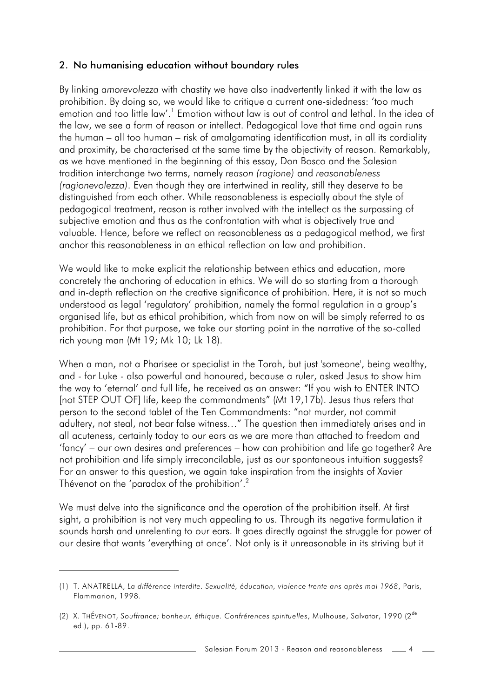## 2. No humanising education without boundary rules

By linking *amorevolezza* with chastity we have also inadvertently linked it with the law as prohibition. By doing so, we would like to critique a current one-sidedness: 'too much emotion and too little law'.<sup>1</sup> Emotion without law is out of control and lethal. In the idea of the law, we see a form of reason or intellect. Pedagogical love that time and again runs the human – all too human – risk of amalgamating identification must, in all its cordiality and proximity, be characterised at the same time by the objectivity of reason. Remarkably, as we have mentioned in the beginning of this essay, Don Bosco and the Salesian tradition interchange two terms, namely *reason (ragione)* and *reasonableness (ragionevolezza)*. Even though they are intertwined in reality, still they deserve to be distinguished from each other. While reasonableness is especially about the style of pedagogical treatment, reason is rather involved with the intellect as the surpassing of subjective emotion and thus as the confrontation with what is objectively true and valuable. Hence, before we reflect on reasonableness as a pedagogical method, we first anchor this reasonableness in an ethical reflection on law and prohibition.

We would like to make explicit the relationship between ethics and education, more concretely the anchoring of education in ethics. We will do so starting from a thorough and in-depth reflection on the creative significance of prohibition. Here, it is not so much understood as legal 'regulatory' prohibition, namely the formal regulation in a group's organised life, but as ethical prohibition, which from now on will be simply referred to as prohibition. For that purpose, we take our starting point in the narrative of the so-called rich young man (Mt 19; Mk 10; Lk 18).

When a man, not a Pharisee or specialist in the Torah, but just 'someone', being wealthy, and - for Luke - also powerful and honoured, because a ruler, asked Jesus to show him the way to 'eternal' and full life, he received as an answer: "If you wish to ENTER INTO [not STEP OUT OF] life, keep the commandments" (Mt 19,17b). Jesus thus refers that person to the second tablet of the Ten Commandments: "not murder, not commit adultery, not steal, not bear false witness…" The question then immediately arises and in all acuteness, certainly today to our ears as we are more than attached to freedom and 'fancy' – our own desires and preferences – how can prohibition and life go together? Are not prohibition and life simply irreconcilable, just as our spontaneous intuition suggests? For an answer to this question, we again take inspiration from the insights of Xavier Thévenot on the 'paradox of the prohibition'.<sup>2</sup>

We must delve into the significance and the operation of the prohibition itself. At first sight, a prohibition is not very much appealing to us. Through its negative formulation it sounds harsh and unrelenting to our ears. It goes directly against the struggle for power of our desire that wants 'everything at once'. Not only is it unreasonable in its striving but it

Salesian Forum 2013 - Reason and reasonableness

<sup>(1)</sup> T. ANATRELLA, *La différence interdite. Sexualité, éducation, violence trente ans après mai 1968*, Paris, Flammarion, 1998.

<sup>(2)</sup> X. THÉVENOT, *Souffrance; bonheur, éthique. Confrérences spirituelles*, Mulhouse, Salvator, 1990 (2de ed.), pp. 61-89.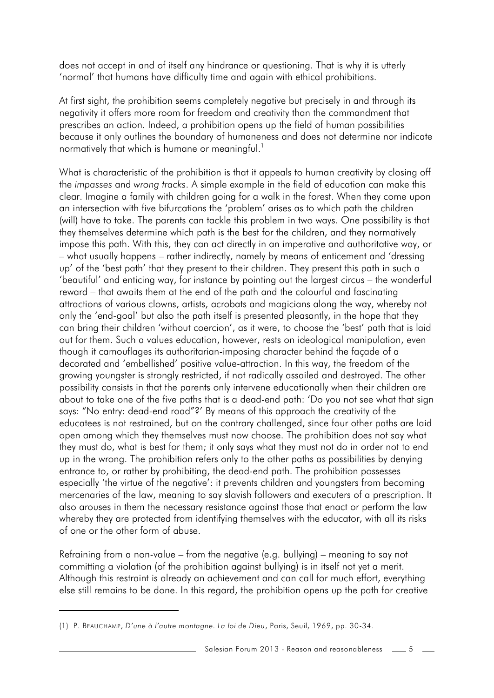does not accept in and of itself any hindrance or questioning. That is why it is utterly 'normal' that humans have difficulty time and again with ethical prohibitions.

At first sight, the prohibition seems completely negative but precisely in and through its negativity it offers more room for freedom and creativity than the commandment that prescribes an action. Indeed, a prohibition opens up the field of human possibilities because it only outlines the boundary of humaneness and does not determine nor indicate normatively that which is humane or meaningful. $1$ 

What is characteristic of the prohibition is that it appeals to human creativity by closing off the *impasses* and *wrong tracks*. A simple example in the field of education can make this clear. Imagine a family with children going for a walk in the forest. When they come upon an intersection with five bifurcations the 'problem' arises as to which path the children (will) have to take. The parents can tackle this problem in two ways. One possibility is that they themselves determine which path is the best for the children, and they normatively impose this path. With this, they can act directly in an imperative and authoritative way, or – what usually happens – rather indirectly, namely by means of enticement and 'dressing up' of the 'best path' that they present to their children. They present this path in such a 'beautiful' and enticing way, for instance by pointing out the largest circus – the wonderful reward – that awaits them at the end of the path and the colourful and fascinating attractions of various clowns, artists, acrobats and magicians along the way, whereby not only the 'end-goal' but also the path itself is presented pleasantly, in the hope that they can bring their children 'without coercion', as it were, to choose the 'best' path that is laid out for them. Such a values education, however, rests on ideological manipulation, even though it camouflages its authoritarian-imposing character behind the façade of a decorated and 'embellished' positive value-attraction. In this way, the freedom of the growing youngster is strongly restricted, if not radically assailed and destroyed. The other possibility consists in that the parents only intervene educationally when their children are about to take one of the five paths that is a dead-end path: 'Do you not see what that sign says: "No entry: dead-end road"?' By means of this approach the creativity of the educatees is not restrained, but on the contrary challenged, since four other paths are laid open among which they themselves must now choose. The prohibition does not say what they must do, what is best for them; it only says what they must not do in order not to end up in the wrong. The prohibition refers only to the other paths as possibilities by denying entrance to, or rather by prohibiting, the dead-end path. The prohibition possesses especially 'the virtue of the negative': it prevents children and youngsters from becoming mercenaries of the law, meaning to say slavish followers and executers of a prescription. It also arouses in them the necessary resistance against those that enact or perform the law whereby they are protected from identifying themselves with the educator, with all its risks of one or the other form of abuse.

Refraining from a non-value – from the negative (e.g. bullying) – meaning to say not committing a violation (of the prohibition against bullying) is in itself not yet a merit. Although this restraint is already an achievement and can call for much effort, everything else still remains to be done. In this regard, the prohibition opens up the path for creative

<sup>(1)</sup> P. BEAUCHAMP, *D'une à l'autre montagne. La loi de Dieu*, Paris, Seuil, 1969, pp. 30-34.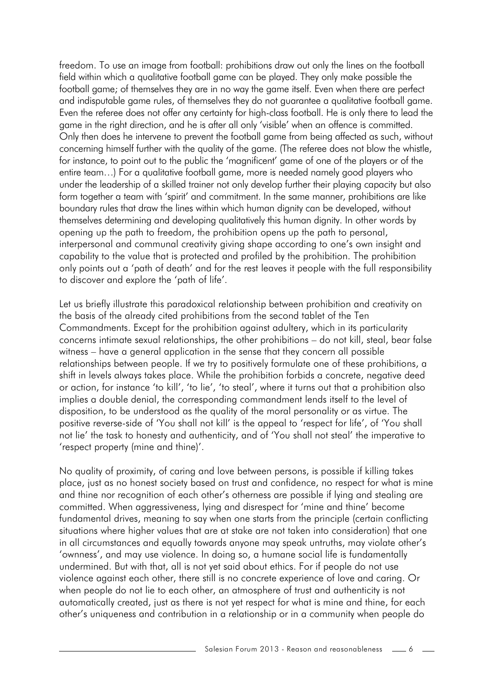freedom. To use an image from football: prohibitions draw out only the lines on the football field within which a qualitative football game can be played. They only make possible the football game; of themselves they are in no way the game itself. Even when there are perfect and indisputable game rules, of themselves they do not guarantee a qualitative football game. Even the referee does not offer any certainty for high-class football. He is only there to lead the game in the right direction, and he is after all only 'visible' when an offence is committed. Only then does he intervene to prevent the football game from being affected as such, without concerning himself further with the quality of the game. (The referee does not blow the whistle, for instance, to point out to the public the 'magnificent' game of one of the players or of the entire team…) For a qualitative football game, more is needed namely good players who under the leadership of a skilled trainer not only develop further their playing capacity but also form together a team with 'spirit' and commitment. In the same manner, prohibitions are like boundary rules that draw the lines within which human dignity can be developed, without themselves determining and developing qualitatively this human dignity. In other words by opening up the path to freedom, the prohibition opens up the path to personal, interpersonal and communal creativity giving shape according to one's own insight and capability to the value that is protected and profiled by the prohibition. The prohibition only points out a 'path of death' and for the rest leaves it people with the full responsibility to discover and explore the 'path of life'.

Let us briefly illustrate this paradoxical relationship between prohibition and creativity on the basis of the already cited prohibitions from the second tablet of the Ten Commandments. Except for the prohibition against adultery, which in its particularity concerns intimate sexual relationships, the other prohibitions – do not kill, steal, bear false witness – have a general application in the sense that they concern all possible relationships between people. If we try to positively formulate one of these prohibitions, a shift in levels always takes place. While the prohibition forbids a concrete, negative deed or action, for instance 'to kill', 'to lie', 'to steal', where it turns out that a prohibition also implies a double denial, the corresponding commandment lends itself to the level of disposition, to be understood as the quality of the moral personality or as virtue. The positive reverse-side of 'You shall not kill' is the appeal to 'respect for life', of 'You shall not lie' the task to honesty and authenticity, and of 'You shall not steal' the imperative to 'respect property (mine and thine)'.

No quality of proximity, of caring and love between persons, is possible if killing takes place, just as no honest society based on trust and confidence, no respect for what is mine and thine nor recognition of each other's otherness are possible if lying and stealing are committed. When aggressiveness, lying and disrespect for 'mine and thine' become fundamental drives, meaning to say when one starts from the principle (certain conflicting situations where higher values that are at stake are not taken into consideration) that one in all circumstances and equally towards anyone may speak untruths, may violate other's 'ownness', and may use violence. In doing so, a humane social life is fundamentally undermined. But with that, all is not yet said about ethics. For if people do not use violence against each other, there still is no concrete experience of love and caring. Or when people do not lie to each other, an atmosphere of trust and authenticity is not automatically created, just as there is not yet respect for what is mine and thine, for each other's uniqueness and contribution in a relationship or in a community when people do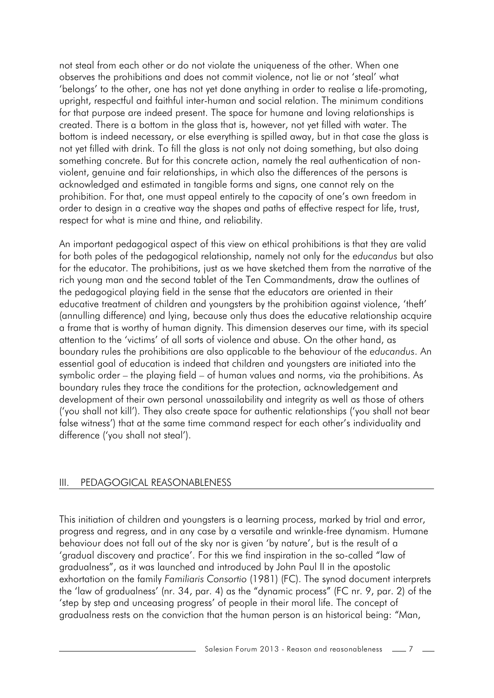not steal from each other or do not violate the uniqueness of the other. When one observes the prohibitions and does not commit violence, not lie or not 'steal' what 'belongs' to the other, one has not yet done anything in order to realise a life-promoting, upright, respectful and faithful inter-human and social relation. The minimum conditions for that purpose are indeed present. The space for humane and loving relationships is created. There is a bottom in the glass that is, however, not yet filled with water. The bottom is indeed necessary, or else everything is spilled away, but in that case the glass is not yet filled with drink. To fill the glass is not only not doing something, but also doing something concrete. But for this concrete action, namely the real authentication of nonviolent, genuine and fair relationships, in which also the differences of the persons is acknowledged and estimated in tangible forms and signs, one cannot rely on the prohibition. For that, one must appeal entirely to the capacity of one's own freedom in order to design in a creative way the shapes and paths of effective respect for life, trust, respect for what is mine and thine, and reliability.

An important pedagogical aspect of this view on ethical prohibitions is that they are valid for both poles of the pedagogical relationship, namely not only for the *educandus* but also for the educator. The prohibitions, just as we have sketched them from the narrative of the rich young man and the second tablet of the Ten Commandments, draw the outlines of the pedagogical playing field in the sense that the educators are oriented in their educative treatment of children and youngsters by the prohibition against violence, 'theft' (annulling difference) and lying, because only thus does the educative relationship acquire a frame that is worthy of human dignity. This dimension deserves our time, with its special attention to the 'victims' of all sorts of violence and abuse. On the other hand, as boundary rules the prohibitions are also applicable to the behaviour of the *educandus*. An essential goal of education is indeed that children and youngsters are initiated into the symbolic order – the playing field – of human values and norms, via the prohibitions. As boundary rules they trace the conditions for the protection, acknowledgement and development of their own personal unassailability and integrity as well as those of others ('you shall not kill'). They also create space for authentic relationships ('you shall not bear false witness') that at the same time command respect for each other's individuality and difference ('you shall not steal').

#### III. PEDAGOGICAL REASONABLENESS

This initiation of children and youngsters is a learning process, marked by trial and error, progress and regress, and in any case by a versatile and wrinkle-free dynamism. Humane behaviour does not fall out of the sky nor is given 'by nature', but is the result of a 'gradual discovery and practice'. For this we find inspiration in the so-called "law of gradualness", as it was launched and introduced by John Paul II in the apostolic exhortation on the family *Familiaris Consortio* (1981) (FC). The synod document interprets the 'law of gradualness' (nr. 34, par. 4) as the "dynamic process" (FC nr. 9, par. 2) of the 'step by step and unceasing progress' of people in their moral life. The concept of gradualness rests on the conviction that the human person is an historical being: "Man,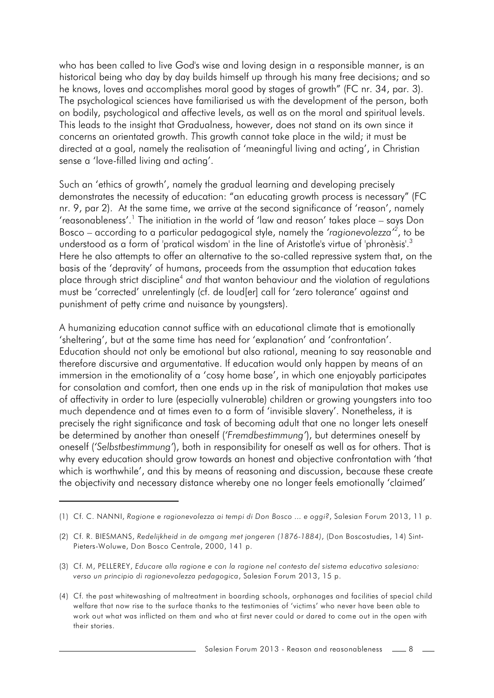who has been called to live God's wise and loving design in a responsible manner, is an historical being who day by day builds himself up through his many free decisions; and so he knows, loves and accomplishes moral good by stages of growth" (FC nr. 34, par. 3). The psychological sciences have familiarised us with the development of the person, both on bodily, psychological and affective levels, as well as on the moral and spiritual levels. This leads to the insight that Gradualness, however, does not stand on its own since it concerns an orientated growth. *T*his growth cannot take place in the wild; it must be directed at a goal, namely the realisation of 'meaningful living and acting', in Christian sense a 'love-filled living and acting'.

Such an 'ethics of growth', namely the gradual learning and developing precisely demonstrates the necessity of education: "an educating growth process is necessary" (FC nr. 9, par 2). At the same time, we arrive at the second significance of 'reason', namely 'reasonableness'.<sup>1</sup> The initiation in the world of 'law and reason' takes place – says Don Bosco – according to a particular pedagogical style, namely the *'ragionevolezza'<sup>2</sup>*, to be understood as a form of 'pratical wisdom' in the line of Aristotle's virtue of 'phronèsis'.<sup>3</sup> Here he also attempts to offer an alternative to the so-called repressive system that, on the basis of the 'depravity' of humans, proceeds from the assumption that education takes place through strict discipline<sup>4</sup> and that wanton behaviour and the violation of regulations must be 'corrected' unrelentingly (cf. de loud[er] call for 'zero tolerance' against and punishment of petty crime and nuisance by youngsters).

A humanizing education cannot suffice with an educational climate that is emotionally 'sheltering', but at the same time has need for 'explanation' and 'confrontation'. Education should not only be emotional but also rational, meaning to say reasonable and therefore discursive and argumentative. If education would only happen by means of an immersion in the emotionality of a 'cosy home base', in which one enjoyably participates for consolation and comfort, then one ends up in the risk of manipulation that makes use of affectivity in order to lure (especially vulnerable) children or growing youngsters into too much dependence and at times even to a form of 'invisible slavery'. Nonetheless, it is precisely the right significance and task of becoming adult that one no longer lets oneself be determined by another than oneself (*'Fremdbestimmung'*), but determines oneself by oneself (*'Selbstbestimmung'*), both in responsibility for oneself as well as for others. That is why every education should grow towards an honest and objective confrontation with 'that which is worthwhile', and this by means of reasoning and discussion, because these create the objectivity and necessary distance whereby one no longer feels emotionally 'claimed'

<sup>(1)</sup> Cf. C. NANNI, *Ragione e ragionevolezza ai tempi di Don Bosco ... e oggi?*, Salesian Forum 2013, 11 p.

<sup>(2)</sup> Cf. R. BIESMANS, *Redelijkheid in de omgang met jongeren (1876-1884)*, (Don Boscostudies, 14) Sint-Pieters-Woluwe, Don Bosco Centrale, 2000, 141 p.

<sup>(3)</sup> Cf. M, PELLEREY, *Educare alla ragione e con la ragione nel contesto del sistema educativo salesiano: verso un principio di ragionevolezza pedagogica*, Salesian Forum 2013, 15 p.

<sup>(4)</sup> Cf. the past whitewashing of maltreatment in boarding schools, orphanages and facilities of special child welfare that now rise to the surface thanks to the testimonies of 'victims' who never have been able to work out what was inflicted on them and who at first never could or dared to come out in the open with their stories.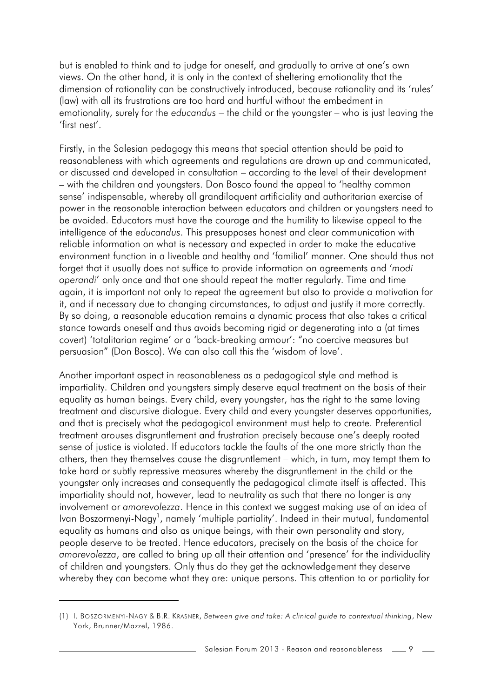but is enabled to think and to judge for oneself, and gradually to arrive at one's own views. On the other hand, it is only in the context of sheltering emotionality that the dimension of rationality can be constructively introduced, because rationality and its 'rules' (law) with all its frustrations are too hard and hurtful without the embedment in emotionality, surely for the *educandus* – the child or the youngster – who is just leaving the 'first nest'.

Firstly, in the Salesian pedagogy this means that special attention should be paid to reasonableness with which agreements and regulations are drawn up and communicated, or discussed and developed in consultation – according to the level of their development – with the children and youngsters. Don Bosco found the appeal to 'healthy common sense' indispensable, whereby all grandiloquent artificiality and authoritarian exercise of power in the reasonable interaction between educators and children or youngsters need to be avoided. Educators must have the courage and the humility to likewise appeal to the intelligence of the *educandus*. This presupposes honest and clear communication with reliable information on what is necessary and expected in order to make the educative environment function in a liveable and healthy and 'familial' manner. One should thus not forget that it usually does not suffice to provide information on agreements and '*modi operandi*' only once and that one should repeat the matter regularly. Time and time again, it is important not only to repeat the agreement but also to provide a motivation for it, and if necessary due to changing circumstances, to adjust and justify it more correctly. By so doing, a reasonable education remains a dynamic process that also takes a critical stance towards oneself and thus avoids becoming rigid or degenerating into a (at times covert) 'totalitarian regime' or a 'back-breaking armour': "no coercive measures but persuasion" (Don Bosco). We can also call this the 'wisdom of love'.

Another important aspect in reasonableness as a pedagogical style and method is impartiality. Children and youngsters simply deserve equal treatment on the basis of their equality as human beings. Every child, every youngster, has the right to the same loving treatment and discursive dialogue. Every child and every youngster deserves opportunities, and that is precisely what the pedagogical environment must help to create. Preferential treatment arouses disgruntlement and frustration precisely because one's deeply rooted sense of justice is violated. If educators tackle the faults of the one more strictly than the others, then they themselves cause the disgruntlement – which, in turn, may tempt them to take hard or subtly repressive measures whereby the disgruntlement in the child or the youngster only increases and consequently the pedagogical climate itself is affected. This impartiality should not, however, lead to neutrality as such that there no longer is any involvement or *amorevolezza*. Hence in this context we suggest making use of an idea of Ivan Boszormenyi-Nagy<sup>1</sup>, namely 'multiple partiality'. Indeed in their mutual, fundamental equality as humans and also as unique beings, with their own personality and story, people deserve to be treated. Hence educators, precisely on the basis of the choice for *amorevolezza*, are called to bring up all their attention and 'presence' for the individuality of children and youngsters. Only thus do they get the acknowledgement they deserve whereby they can become what they are: unique persons. This attention to or partiality for

<sup>(1)</sup> I. BOSZORMENYI-NAGY & B.R. KRASNER, *Between give and take: A clinical guide to contextual thinking*, New York, Brunner/Mazzel, 1986.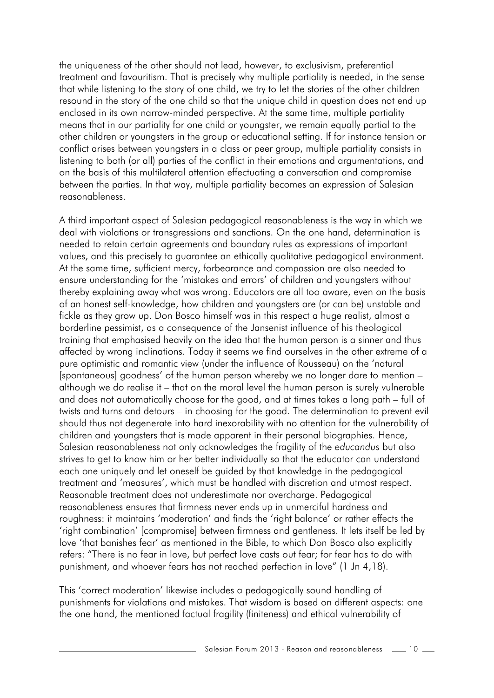the uniqueness of the other should not lead, however, to exclusivism, preferential treatment and favouritism. That is precisely why multiple partiality is needed, in the sense that while listening to the story of one child, we try to let the stories of the other children resound in the story of the one child so that the unique child in question does not end up enclosed in its own narrow-minded perspective. At the same time, multiple partiality means that in our partiality for one child or youngster, we remain equally partial to the other children or youngsters in the group or educational setting. If for instance tension or conflict arises between youngsters in a class or peer group, multiple partiality consists in listening to both (or all) parties of the conflict in their emotions and argumentations, and on the basis of this multilateral attention effectuating a conversation and compromise between the parties. In that way, multiple partiality becomes an expression of Salesian reasonableness.

A third important aspect of Salesian pedagogical reasonableness is the way in which we deal with violations or transgressions and sanctions. On the one hand, determination is needed to retain certain agreements and boundary rules as expressions of important values, and this precisely to guarantee an ethically qualitative pedagogical environment. At the same time, sufficient mercy, forbearance and compassion are also needed to ensure understanding for the 'mistakes and errors' of children and youngsters without thereby explaining away what was wrong. Educators are all too aware, even on the basis of an honest self-knowledge, how children and youngsters are (or can be) unstable and fickle as they grow up. Don Bosco himself was in this respect a huge realist, almost a borderline pessimist, as a consequence of the Jansenist influence of his theological training that emphasised heavily on the idea that the human person is a sinner and thus affected by wrong inclinations. Today it seems we find ourselves in the other extreme of a pure optimistic and romantic view (under the influence of Rousseau) on the 'natural [spontaneous] goodness' of the human person whereby we no longer dare to mention – although we do realise it – that on the moral level the human person is surely vulnerable and does not automatically choose for the good, and at times takes a long path – full of twists and turns and detours – in choosing for the good. The determination to prevent evil should thus not degenerate into hard inexorability with no attention for the vulnerability of children and youngsters that is made apparent in their personal biographies. Hence, Salesian reasonableness not only acknowledges the fragility of the *educandus* but also strives to get to know him or her better individually so that the educator can understand each one uniquely and let oneself be guided by that knowledge in the pedagogical treatment and 'measures', which must be handled with discretion and utmost respect. Reasonable treatment does not underestimate nor overcharge. Pedagogical reasonableness ensures that firmness never ends up in unmerciful hardness and roughness: it maintains 'moderation' and finds the 'right balance' or rather effects the 'right combination' [compromise] between firmness and gentleness. It lets itself be led by love 'that banishes fear' as mentioned in the Bible, to which Don Bosco also explicitly refers: "There is no fear in love, but perfect love casts out fear; for fear has to do with punishment, and whoever fears has not reached perfection in love" (1 Jn 4,18).

This 'correct moderation' likewise includes a pedagogically sound handling of punishments for violations and mistakes. That wisdom is based on different aspects: one the one hand, the mentioned factual fragility (finiteness) and ethical vulnerability of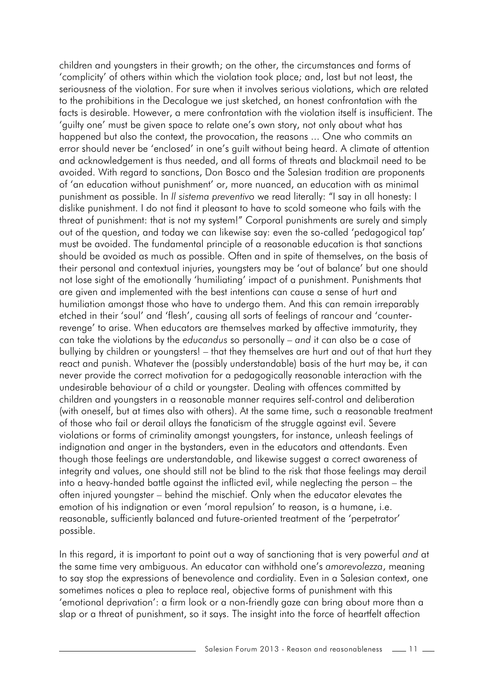children and youngsters in their growth; on the other, the circumstances and forms of 'complicity' of others within which the violation took place; and, last but not least, the seriousness of the violation. For sure when it involves serious violations, which are related to the prohibitions in the Decalogue we just sketched, an honest confrontation with the facts is desirable. However, a mere confrontation with the violation itself is insufficient. The 'guilty one' must be given space to relate one's own story, not only about what has happened but also the context, the provocation, the reasons ... One who commits an error should never be 'enclosed' in one's guilt without being heard. A climate of attention and acknowledgement is thus needed, and all forms of threats and blackmail need to be avoided. With regard to sanctions, Don Bosco and the Salesian tradition are proponents of 'an education without punishment' or, more nuanced, an education with as minimal punishment as possible. In *Il sistema preventivo* we read literally: "I say in all honesty: I dislike punishment. I do not find it pleasant to have to scold someone who fails with the threat of punishment: that is not my system!" Corporal punishments are surely and simply out of the question, and today we can likewise say: even the so-called 'pedagogical tap' must be avoided. The fundamental principle of a reasonable education is that sanctions should be avoided as much as possible. Often and in spite of themselves, on the basis of their personal and contextual injuries, youngsters may be 'out of balance' but one should not lose sight of the emotionally 'humiliating' impact of a punishment. Punishments that are given and implemented with the best intentions can cause a sense of hurt and humiliation amongst those who have to undergo them. And this can remain irreparably etched in their 'soul' and 'flesh', causing all sorts of feelings of rancour and 'counterrevenge' to arise. When educators are themselves marked by affective immaturity, they can take the violations by the *educandus* so personally – *and* it can also be a case of bullying by children or youngsters! – that they themselves are hurt and out of that hurt they react and punish. Whatever the (possibly understandable) basis of the hurt may be, it can never provide the correct motivation for a pedagogically reasonable interaction with the undesirable behaviour of a child or youngster. Dealing with offences committed by children and youngsters in a reasonable manner requires self-control and deliberation (with oneself, but at times also with others). At the same time, such a reasonable treatment of those who fail or derail allays the fanaticism of the struggle against evil. Severe violations or forms of criminality amongst youngsters, for instance, unleash feelings of indignation and anger in the bystanders, even in the educators and attendants. Even though those feelings are understandable, and likewise suggest a correct awareness of integrity and values, one should still not be blind to the risk that those feelings may derail into a heavy-handed battle against the inflicted evil, while neglecting the person – the often injured youngster – behind the mischief. Only when the educator elevates the emotion of his indignation or even 'moral repulsion' to reason, is a humane, i.e. reasonable, sufficiently balanced and future-oriented treatment of the 'perpetrator' possible.

In this regard, it is important to point out a way of sanctioning that is very powerful *and* at the same time very ambiguous. An educator can withhold one's *amorevolezza*, meaning to say stop the expressions of benevolence and cordiality. Even in a Salesian context, one sometimes notices a plea to replace real, objective forms of punishment with this 'emotional deprivation': a firm look or a non-friendly gaze can bring about more than a slap or a threat of punishment, so it says. The insight into the force of heartfelt affection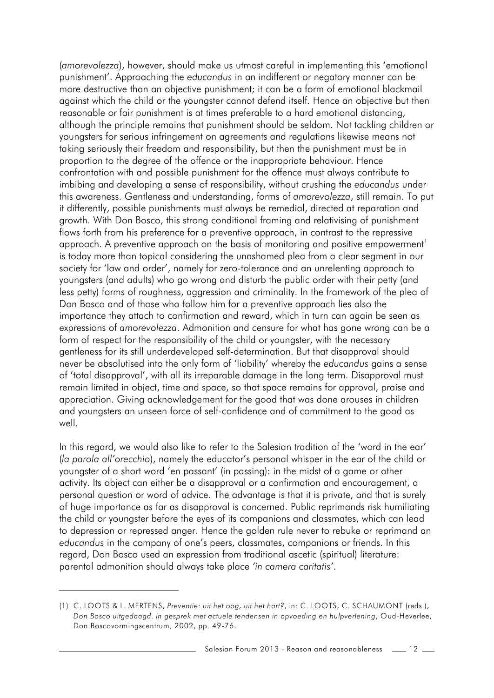(*amorevolezza*), however, should make us utmost careful in implementing this 'emotional punishment'. Approaching the *educandus* in an indifferent or negatory manner can be more destructive than an objective punishment; it can be a form of emotional blackmail against which the child or the youngster cannot defend itself. Hence an objective but then reasonable or fair punishment is at times preferable to a hard emotional distancing, although the principle remains that punishment should be seldom. Not tackling children or youngsters for serious infringement on agreements and regulations likewise means not taking seriously their freedom and responsibility, but then the punishment must be in proportion to the degree of the offence or the inappropriate behaviour. Hence confrontation with and possible punishment for the offence must always contribute to imbibing and developing a sense of responsibility, without crushing the *educandus* under this awareness. Gentleness and understanding, forms of *amorevolezza*, still remain. To put it differently, possible punishments must always be remedial, directed at reparation and growth. With Don Bosco, this strong conditional framing and relativising of punishment flows forth from his preference for a preventive approach, in contrast to the repressive approach. A preventive approach on the basis of monitoring and positive empowerment<sup>1</sup> is today more than topical considering the unashamed plea from a clear segment in our society for 'law and order', namely for zero-tolerance and an unrelenting approach to youngsters (and adults) who go wrong and disturb the public order with their petty (and less petty) forms of roughness, aggression and criminality. In the framework of the plea of Don Bosco and of those who follow him for a preventive approach lies also the importance they attach to confirmation and reward, which in turn can again be seen as expressions of *amorevolezza*. Admonition and censure for what has gone wrong can be a form of respect for the responsibility of the child or youngster, with the necessary gentleness for its still underdeveloped self-determination. But that disapproval should never be absolutised into the only form of 'liability' whereby the *educandus* gains a sense of 'total disapproval', with all its irreparable damage in the long term. Disapproval must remain limited in object, time and space, so that space remains for approval, praise and appreciation. Giving acknowledgement for the good that was done arouses in children and youngsters an unseen force of self-confidence and of commitment to the good as well.

In this regard, we would also like to refer to the Salesian tradition of the 'word in the ear' (*la parola all'orecchio*), namely the educator's personal whisper in the ear of the child or youngster of a short word 'en passant' (in passing): in the midst of a game or other activity. Its object can either be a disapproval or a confirmation and encouragement, a personal question or word of advice. The advantage is that it is private, and that is surely of huge importance as far as disapproval is concerned. Public reprimands risk humiliating the child or youngster before the eyes of its companions and classmates, which can lead to depression or repressed anger. Hence the golden rule never to rebuke or reprimand an *educandus* in the company of one's peers, classmates, companions or friends. In this regard, Don Bosco used an expression from traditional ascetic (spiritual) literature: parental admonition should always take place *'in camera caritatis'*.

<sup>(1)</sup> C. LOOTS & L. MERTENS, *Preventie: uit het oog, uit het hart?*, in: C. LOOTS, C. SCHAUMONT (reds.), *Don Bosco uitgedaagd. In gesprek met actuele tendensen in opvoeding en hulpverlening*, Oud-Heverlee, Don Boscovormingscentrum, 2002, pp. 49-76.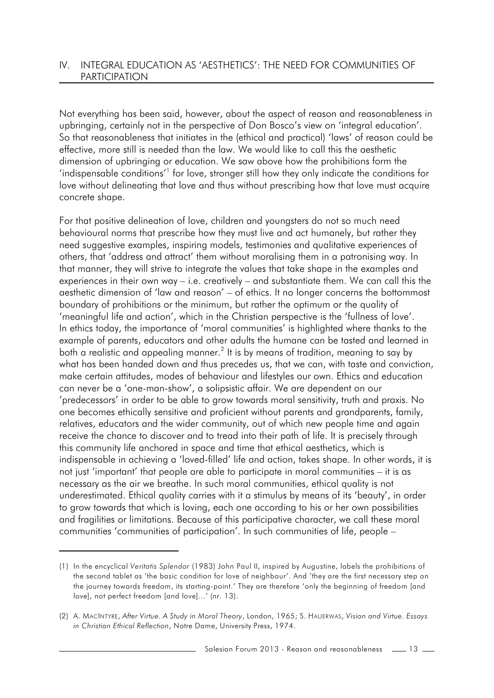#### IV. INTEGRAL EDUCATION AS 'AESTHETICS': THE NEED FOR COMMUNITIES OF PARTICIPATION

Not everything has been said, however, about the aspect of reason and reasonableness in upbringing, certainly not in the perspective of Don Bosco's view on 'integral education'. So that reasonableness that initiates in the (ethical and practical) 'laws' of reason could be effective, more still is needed than the law. We would like to call this the aesthetic dimension of upbringing or education. We saw above how the prohibitions form the 'indispensable conditions' $1$  for love, stronger still how they only indicate the conditions for love without delineating that love and thus without prescribing how that love must acquire concrete shape.

For that positive delineation of love, children and youngsters do not so much need behavioural norms that prescribe how they must live and act humanely, but rather they need suggestive examples, inspiring models, testimonies and qualitative experiences of others, that 'address and attract' them without moralising them in a patronising way. In that manner, they will strive to integrate the values that take shape in the examples and experiences in their own way – i.e. creatively – and substantiate them. We can call this the aesthetic dimension of 'law and reason' – of ethics. It no longer concerns the bottommost boundary of prohibitions or the minimum, but rather the optimum or the quality of 'meaningful life and action', which in the Christian perspective is the 'fullness of love'. In ethics today, the importance of 'moral communities' is highlighted where thanks to the example of parents, educators and other adults the humane can be tasted and learned in both a realistic and appealing manner.<sup>2</sup> It is by means of tradition, meaning to say by what has been handed down and thus precedes us, that we can, with taste and conviction, make certain attitudes, modes of behaviour and lifestyles our own. Ethics and education can never be a 'one-man-show', a solipsistic affair. We are dependent on our 'predecessors' in order to be able to grow towards moral sensitivity, truth and praxis. No one becomes ethically sensitive and proficient without parents and grandparents, family, relatives, educators and the wider community, out of which new people time and again receive the chance to discover and to tread into their path of life. It is precisely through this community life anchored in space and time that ethical aesthetics, which is indispensable in achieving a 'loved-filled' life and action, takes shape. In other words, it is not just 'important' that people are able to participate in moral communities – it is as necessary as the air we breathe. In such moral communities, ethical quality is not underestimated. Ethical quality carries with it a stimulus by means of its 'beauty', in order to grow towards that which is loving, each one according to his or her own possibilities and fragilities or limitations. Because of this participative character, we call these moral communities 'communities of participation'. In such communities of life, people –

<sup>(1)</sup> In the encyclical *Veritatis Splendor* (1983) John Paul II, inspired by Augustine, labels the prohibitions of the second tablet as 'the basic condition for love of neighbour'. And 'they are the first necessary step on the journey towards freedom, its starting-point.' They are therefore 'only the beginning of freedom [and love], not perfect freedom [and love]...' (nr. 13).

<sup>(2)</sup> A. MACINTYRE, *After Virtue. A Study in Moral Theory*, London, 1965; S. HAUERWAS, *Vision and Virtue. Essays in Christian Ethical Reflection*, Notre Dame, University Press, 1974.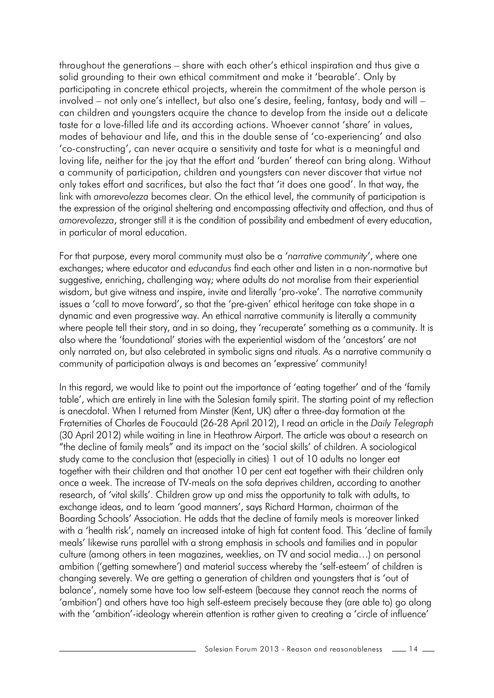throughout the generations – share with each other's ethical inspiration and thus give a solid grounding to their own ethical commitment and make it 'bearable'. Only by participating in concrete ethical projects, wherein the commitment of the whole person is involved – not only one's intellect, but also one's desire, feeling, fantasy, body and will – can children and youngsters acquire the chance to develop from the inside out a delicate taste for a love-filled life and its according actions. Whoever cannot 'share' in values, modes of behaviour and life, and this in the double sense of 'co-experiencing' and also 'co-constructing', can never acquire a sensitivity and taste for what is a meaningful and loving life, neither for the joy that the effort and 'burden' thereof can bring along. Without a community of participation, children and youngsters can never discover that virtue not only takes effort and sacrifices, but also the fact that 'it does one good'. In that way, the link with *amorevolezza* becomes clear. On the ethical level, the community of participation is the expression of the original sheltering and encompassing affectivity and affection, and thus of *amorevolezza*, stronger still it is the condition of possibility and embedment of every education, in particular of moral education.

For that purpose, every moral community must also be a '*narrative community*', where one exchanges; where educator and *educandus* find each other and listen in a non-normative but suggestive, enriching, challenging way; where adults do not moralise from their experiential wisdom, but give witness and inspire, invite and literally 'pro-voke'. The narrative community issues a 'call to move forward', so that the 'pre-given' ethical heritage can take shape in a dynamic and even progressive way. An ethical narrative community is literally a community where people tell their story, and in so doing, they 'recuperate' something as a community. It is also where the 'foundational' stories with the experiential wisdom of the 'ancestors' are not only narrated on, but also celebrated in symbolic signs and rituals. As a narrative community a community of participation always is and becomes an 'expressive' community!

In this regard, we would like to point out the importance of 'eating together' and of the 'family table', which are entirely in line with the Salesian family spirit. The starting point of my reflection is anecdotal. When I returned from Minster (Kent, UK) after a three-day formation at the Fraternities of Charles de Foucauld (26-28 April 2012), I read an article in the *Daily Telegraph* (30 April 2012) while waiting in line in Heathrow Airport. The article was about a research on "the decline of family meals" and its impact on the 'social skills' of children. A sociological study came to the conclusion that (especially in cities) 1 out of 10 adults no longer eat together with their children and that another 10 per cent eat together with their children only once a week. The increase of TV-meals on the sofa deprives children, according to another research, of 'vital skills'. Children grow up and miss the opportunity to talk with adults, to exchange ideas, and to learn 'good manners', says Richard Harman, chairman of the Boarding Schools' Association. He adds that the decline of family meals is moreover linked with a 'health risk', namely an increased intake of high fat content food. This 'decline of family meals' likewise runs parallel with a strong emphasis in schools and families and in popular culture (among others in teen magazines, weeklies, on TV and social media…) on personal ambition ('getting somewhere') and material success whereby the 'self-esteem' of children is changing severely. We are getting a generation of children and youngsters that is 'out of balance', namely some have too low self-esteem (because they cannot reach the norms of 'ambition') and others have too high self-esteem precisely because they (are able to) go along with the 'ambition'-ideology wherein attention is rather given to creating a 'circle of influence'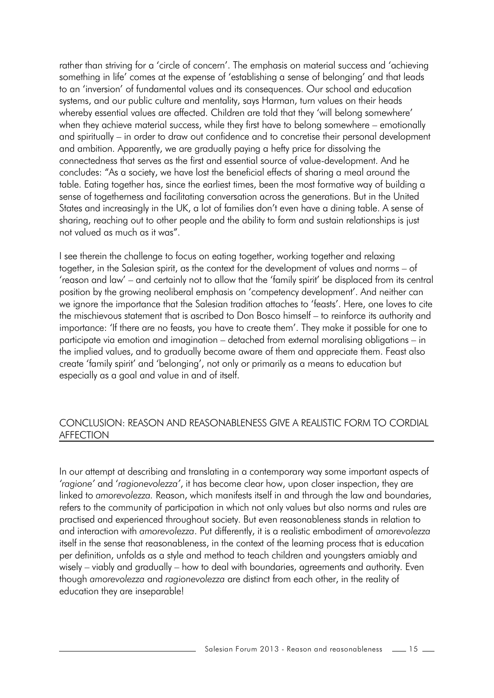rather than striving for a 'circle of concern'. The emphasis on material success and 'achieving something in life' comes at the expense of 'establishing a sense of belonging' and that leads to an 'inversion' of fundamental values and its consequences. Our school and education systems, and our public culture and mentality, says Harman, turn values on their heads whereby essential values are affected. Children are told that they 'will belong somewhere' when they achieve material success, while they first have to belong somewhere – emotionally and spiritually – in order to draw out confidence and to concretise their personal development and ambition. Apparently, we are gradually paying a hefty price for dissolving the connectedness that serves as the first and essential source of value-development. And he concludes: "As a society, we have lost the beneficial effects of sharing a meal around the table. Eating together has, since the earliest times, been the most formative way of building a sense of togetherness and facilitating conversation across the generations. But in the United States and increasingly in the UK, a lot of families don't even have a dining table. A sense of sharing, reaching out to other people and the ability to form and sustain relationships is just not valued as much as it was".

I see therein the challenge to focus on eating together, working together and relaxing together, in the Salesian spirit, as the context for the development of values and norms – of 'reason and law' – and certainly not to allow that the 'family spirit' be displaced from its central position by the growing neoliberal emphasis on 'competency development'. And neither can we ignore the importance that the Salesian tradition attaches to 'feasts'. Here, one loves to cite the mischievous statement that is ascribed to Don Bosco himself – to reinforce its authority and importance: 'If there are no feasts, you have to create them'. They make it possible for one to participate via emotion and imagination – detached from external moralising obligations – in the implied values, and to gradually become aware of them and appreciate them. Feast also create 'family spirit' and 'belonging', not only or primarily as a means to education but especially as a goal and value in and of itself.

#### CONCLUSION: REASON AND REASONABLENESS GIVE A REALISTIC FORM TO CORDIAL AFFECTION

In our attempt at describing and translating in a contemporary way some important aspects of *'ragione'* and '*ragionevolezza'*, it has become clear how, upon closer inspection, they are linked to *amorevolezza.* Reason, which manifests itself in and through the law and boundaries, refers to the community of participation in which not only values but also norms and rules are practised and experienced throughout society. But even reasonableness stands in relation to and interaction with *amorevolezza*. Put differently, it is a realistic embodiment of *amorevolezza* itself in the sense that reasonableness, in the context of the learning process that is education per definition, unfolds as a style and method to teach children and youngsters amiably and wisely – viably and gradually – how to deal with boundaries, agreements and authority. Even though *amorevolezza* and *ragionevolezza* are distinct from each other, in the reality of education they are inseparable!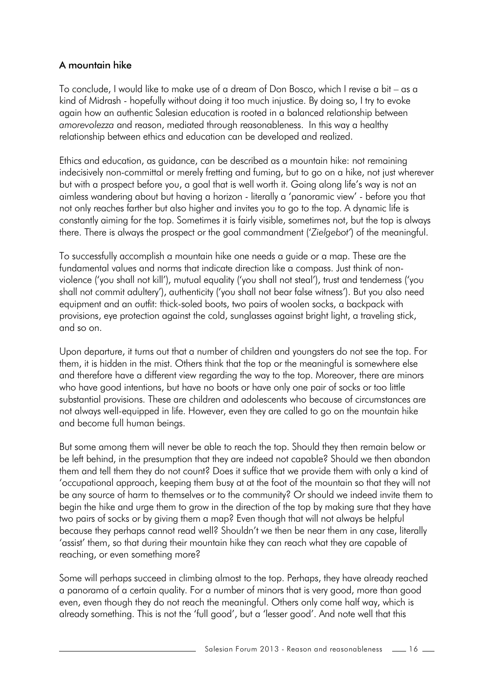## A mountain hike

To conclude, I would like to make use of a dream of Don Bosco, which I revise a bit – as a kind of Midrash - hopefully without doing it too much injustice. By doing so, I try to evoke again how an authentic Salesian education is rooted in a balanced relationship between *amorevolezza* and reason, mediated through reasonableness. In this way a healthy relationship between ethics and education can be developed and realized.

Ethics and education, as guidance, can be described as a mountain hike: not remaining indecisively non-committal or merely fretting and fuming, but to go on a hike, not just wherever but with a prospect before you, a goal that is well worth it. Going along life's way is not an aimless wandering about but having a horizon - literally a 'panoramic view' - before you that not only reaches farther but also higher and invites you to go to the top. A dynamic life is constantly aiming for the top. Sometimes it is fairly visible, sometimes not, but the top is always there. There is always the prospect or the goal commandment ('*Zielgebot'*) of the meaningful.

To successfully accomplish a mountain hike one needs a guide or a map. These are the fundamental values and norms that indicate direction like a compass. Just think of nonviolence ('you shall not kill'), mutual equality ('you shall not steal'), trust and tenderness ('you shall not commit adultery'), authenticity ('you shall not bear false witness'). But you also need equipment and an outfit: thick-soled boots, two pairs of woolen socks, a backpack with provisions, eye protection against the cold, sunglasses against bright light, a traveling stick, and so on.

Upon departure, it turns out that a number of children and youngsters do not see the top. For them, it is hidden in the mist. Others think that the top or the meaningful is somewhere else and therefore have a different view regarding the way to the top. Moreover, there are minors who have good intentions, but have no boots or have only one pair of socks or too little substantial provisions. These are children and adolescents who because of circumstances are not always well-equipped in life. However, even they are called to go on the mountain hike and become full human beings.

But some among them will never be able to reach the top. Should they then remain below or be left behind, in the presumption that they are indeed not capable? Should we then abandon them and tell them they do not count? Does it suffice that we provide them with only a kind of 'occupational approach, keeping them busy at at the foot of the mountain so that they will not be any source of harm to themselves or to the community? Or should we indeed invite them to begin the hike and urge them to grow in the direction of the top by making sure that they have two pairs of socks or by giving them a map? Even though that will not always be helpful because they perhaps cannot read well? Shouldn't we then be near them in any case, literally 'assist' them, so that during their mountain hike they can reach what they are capable of reaching, or even something more?

Some will perhaps succeed in climbing almost to the top. Perhaps, they have already reached a panorama of a certain quality. For a number of minors that is very good, more than good even, even though they do not reach the meaningful. Others only come half way, which is already something. This is not the 'full good', but a 'lesser good'. And note well that this